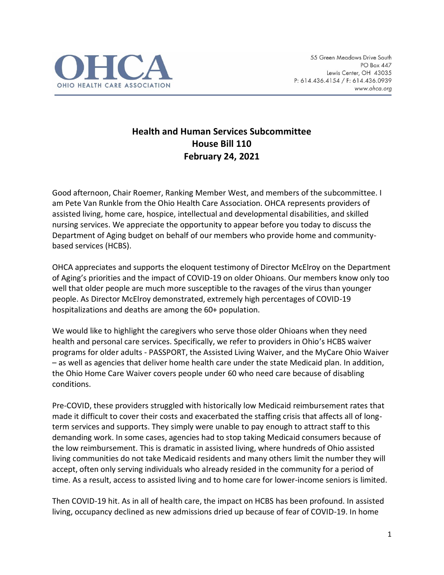

## **Health and Human Services Subcommittee House Bill 110 February 24, 2021**

Good afternoon, Chair Roemer, Ranking Member West, and members of the subcommittee. I am Pete Van Runkle from the Ohio Health Care Association. OHCA represents providers of assisted living, home care, hospice, intellectual and developmental disabilities, and skilled nursing services. We appreciate the opportunity to appear before you today to discuss the Department of Aging budget on behalf of our members who provide home and communitybased services (HCBS).

OHCA appreciates and supports the eloquent testimony of Director McElroy on the Department of Aging's priorities and the impact of COVID-19 on older Ohioans. Our members know only too well that older people are much more susceptible to the ravages of the virus than younger people. As Director McElroy demonstrated, extremely high percentages of COVID-19 hospitalizations and deaths are among the 60+ population.

We would like to highlight the caregivers who serve those older Ohioans when they need health and personal care services. Specifically, we refer to providers in Ohio's HCBS waiver programs for older adults - PASSPORT, the Assisted Living Waiver, and the MyCare Ohio Waiver – as well as agencies that deliver home health care under the state Medicaid plan. In addition, the Ohio Home Care Waiver covers people under 60 who need care because of disabling conditions.

Pre-COVID, these providers struggled with historically low Medicaid reimbursement rates that made it difficult to cover their costs and exacerbated the staffing crisis that affects all of longterm services and supports. They simply were unable to pay enough to attract staff to this demanding work. In some cases, agencies had to stop taking Medicaid consumers because of the low reimbursement. This is dramatic in assisted living, where hundreds of Ohio assisted living communities do not take Medicaid residents and many others limit the number they will accept, often only serving individuals who already resided in the community for a period of time. As a result, access to assisted living and to home care for lower-income seniors is limited.

Then COVID-19 hit. As in all of health care, the impact on HCBS has been profound. In assisted living, occupancy declined as new admissions dried up because of fear of COVID-19. In home